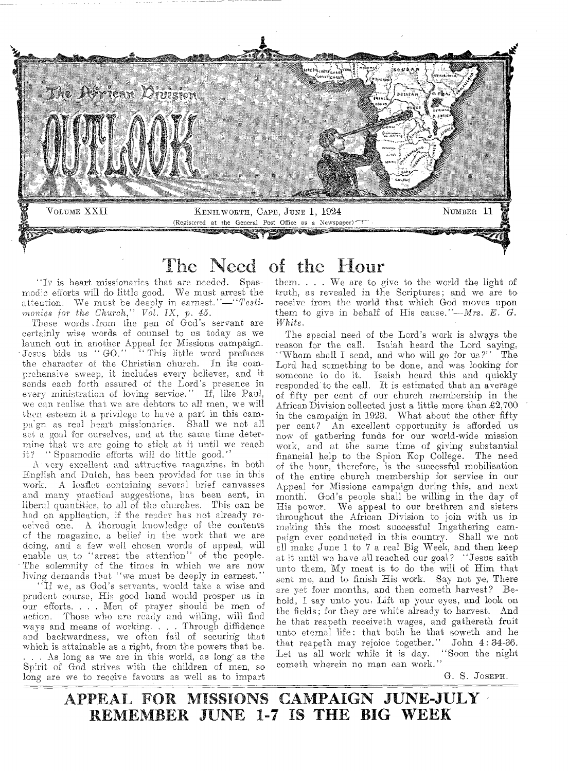

# **The Need of the Hour**

"IT is heart missionaries that are needed. Spasmodic efforts will do little good. We must arrest the attention. We **must** be deeply in earnest."—"Testi*monies for the Church," Vol. IX, p. 45.* 

These words from the pen of God's servant are certainly wise words of counsel to us today as we launch out **in** another Appeal for Missions campaign. - Jesus bids us " GO." " This little word prefaces the character of the Christian church. In its comprehensive sweep, it includes every believer, and it sends each forth assured of the Lord's presence in every ministration of loving service." If, like Paul, we can realise that we are debtors to all men, we will then esteem it a privilege to have a part in this campa'gn as real heart missionaries. Shall we not all set a goal for ourselves, and at the same time determine that we are going to stick at it until we reach it? " Spasmodic efforts will do little good."

A 'Very excellent and attractive magazine, in both English and Dutch, has been provided for use in this work. A leaflet containing several brief canvasses and many practical suggestions, has been sent, in liberal quantities, to all of the churches. This can be had on application, if the reader has not already received one. A thorough knowledge of the contents of the magazine, a belief in the work that we are doing, and a few well chosen words of appeal, will enable us. to "arrest the attention" of the people. The solemnity of the times in which we are now living demands that "we must be deeply in earnest."

"If we, as God's servants, would take a wise and prudent course, His good hand would prosper us in our efforts. . . . Men of prayer should be men of action. Those who are ready and willing, will find ways and means of working. . . . Through diffidence and backwardness, we often fail of securing that which is attainable as a right, from the powers that be. . . . As long as we are in this world, as long' as the Spirit of God strives with the children of men, **so**  long are we to receive favours as well as to impart

them. . . . We are to give to the world the light of truth, as revealed in the Scriptures; and we are to receive from the world that which God moves upon them to give in behalf of His cause."— $Mrs$ .  $E \cdot G$ . *White.* 

The special need of the Lord's work is always the reason for the call. Isaiah heard the Lord saying, —Whom shall I send, and who will go for us ?" The Lord had something to be done, and was looking for someone to do it. Isaiah heard this and quickly responded to the call. It is estimated that an average of fifty per cent of our church membership in the African Division collected just a little more than £2,700 in the campaign in 1923. What about the other fifty per cent? An excellent opportunity is afforded us now of gathering funds for our world-wide mission work, and at the same time of giving substantial financial help to the Spion Kop College. The need of the hour, therefore, is the successful mobilisation of the entire church membership for service in our Appeal for Missions campaign during this, and next month. God's people shall be willing in the day of His power. We appeal to our brethren and sisters We appeal to our brethren and sisters throughout the African Division to join with us in making this the most successful Ingathering campaign ever conducted in this country. Shall we not all make June 1 to 7 a real Big Week, and then keep at it until we have all reached our goal? "Jesus saith unto them, My meat is to do the will of Him that sent me, and to finish His work. Say not ye, There are yet four months, and then cometh harvest? Behold, I say unto you, Lift up your eyes, and look on the fields; for they are white already to harvest. And he that reapeth receiveth wages, and gathereth fruit unto eternal life: that both he that soweth and he that reapeth may rejoice together." John 4 : 34-36. Let us all work while it is **day.** "Soon the night cometh wherein no man can **work."** 

**G.** S. **JOSEPH.** 

**APPEAL FOR MISSIONS CAMPAIGN JUNE-JULY • REMEMBER JUNE 1-7 IS THE BIG WEEK**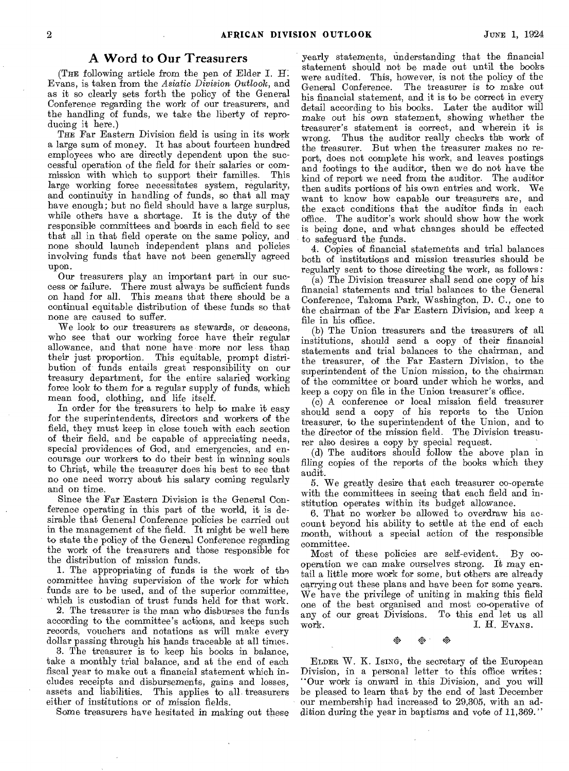### A Word to Our Treasurers

(THE following article from the pen of Elder I. H. Evans, is taken from the *Asiatic Division Outlook,* and as it so clearly sets forth the policy of the General Conference regarding the work of our treasurers, and the handling of funds, we take the liberty of reproducing it here.)

THE Far Eastern Division field is using in its work a large sum of money. It has about fourteen hundred employees who are directly dependent upon the successful operation of the field for their salaries or commission with which to support their families. This large working force necessitates system, regularity, and continuity in handling of funds, so that all may have enough; but no field should have a large surplus, while others have a shortage. It is the duty of the responsible committees and boards in each field to see that all in that field operate on the same policy, and none should launch independent plans and policies involving funds that have not been generally agreed upon.

Our treasurers play an important part in our success or failure. There must always be sufficient funds on hand for all. This means that there should be a continual equitable distribution of these funds so that none are caused to suffer.

We look to our treasurers as stewards, or deacons, who see that our working force have their regular allowance, and that none have more nor less than their just proportion. This equitable, prompt distribution of funds entails great responsibility on our treasury department, for the entire salaried working force look to them for a regular supply of funds, which mean food, clothing, and life itself.

In order for the treasurers to help to make it easy for the superintendents, directors and workers of the field, they must keep in close touch with each section of their field, and be capable of appreciating needs, special providences of God, and emergencies, and encourage our workers to do their best in winning souls to Christ, while the treasurer does his best to see that no one need worry about his salary coming regularly and on time.

Since the Far Eastern Division is the General Conference operating in this part of the world, it is desirable that General Conference policies be carried out in the management of the field. It might be well here to state the policy of the General Conference regarding the work of the treasurers and those responsible for the distribution of mission funds.

1. The appropriating of funds is the work of the committee having supervision of the work for which funds are to be used, and of the superior committee, which is custodian of trust funds held for that work.

2. The treasurer is the man who disburses the funds according to the committee's actions, and keeps such records, vouchers and notations as will make every dollar passing through his hands traceable at all times.

3. The treasurer is to keep his books in balance, take a monthly trial balance, and at the end of each fiscal year to make out a financial statement which includes receipts and disbursements, gains and losses, assets and liabilities. This applies to all treasurers either of institutions or of mission fields.

Some treasurers have hesitated in making out these

yearly statements, understanding that the financial statement should not be made out until the books were audited. This, however, is not the policy of the General Conference. The treasurer is to make out his financial statement, and it is to be correct in every detail according to his books. Later the auditor will make out his own statement, showing whether the treasurer's statement is correct, and wherein it is wrong. Thus the auditor really checks the work of the treasurer. But when the treasurer makes no report, does not complete his work, and leaves postings and footings to the auditor, then we do not have the kind of report we need from the auditor. The auditor then audits portions of his own entries and work. We want to know how capable our treasurers are, and the exact conditions that the auditor finds in each office. The auditor's work should show how the work is being done, and what changes should be effected to safeguard the funds.

4. Copies of financial statements and trial balances both of institutions and mission treasuries should be regularly sent to those directing the work, as follows:

(a) The Division treasurer shall send one copy of his financial statements and trial balances to the General Conference, Takoma Park, Washington, D. C., one to the chairman of the Far Eastern Division, and keep a file in his office.

(b) The Union treasurers and the treasurers of all institutions, should send a copy of their financial statements and trial balances to the chairman, and the treasurer, of the Far Eastern Division, to the superintendent of the Union mission, to the chairman of the committee or board under which he works, and keep a copy on file in the Union treasurer's office.

 $(c)$  A conference or local mission field treasurer should send a copy of his reports to the Union treasurer, to the superintendent of the Union, and to the director of the mission field. The Division treasurer also desires a copy by special request.

(d) The auditors should follow the above plan in filing copies of the reports of the books which they audit.

5. We greatly desire that each treasurer co-operate with the committees in seeing that each field and institution operates within its budget allowance.

6. That no worker be allowed to overdraw his account beyond his ability to settle at the end of each month, without a special action of the responsible committee.

Most of these policies are self-evident. By cooperation we can make ourselves strong. It may entail a little more work for some, but others are already carrying out these plans and have been for some years. We have the privilege of uniting in making this field one of the best organised and most co-operative of any of our great Divisions. To this end let us all work.<br>I. H. Evans. I. **H.** EVANS.

> 4t4 •• 哝

ELDER W. K. ISING, the secretary of the European Division, in a personal letter to this office writes: "Our work is onward in this Division, and you will be pleased to learn that by the end of last December our membership had increased to 29,305, with an addition during the year in baptisms and vote of 11,369."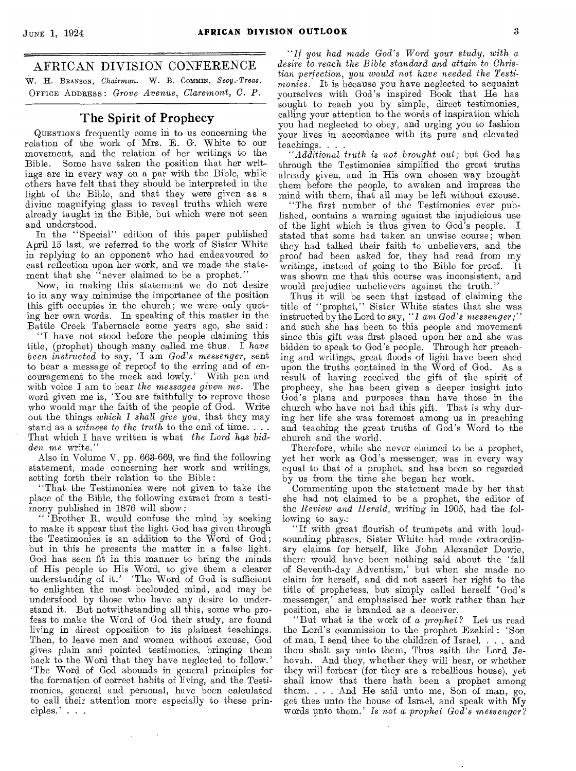## AFRICAN DIVISION CONFERENCE W. H. BRANSON, *Chairman. W.* B. COMMIN, *Secy.-Treas.*  OFFICE ADDRESS : *Grove Avenue, Claremont, C. P.*

### The Spirit of Prophecy

QUESTIONS frequently come in to us concerning the relation of the work of Mrs. E. G. White to our movement, and the relation of her writings to the Bible. Some have taken the position that her writings are in every way on a par with the Bible, while others have felt that they should be interpreted in the light of the Bible, and that they were given as a divine magnifying glass to reveal truths which were already taught in the Bible, but which were not seen and understood.

In the "Special" edition of this paper published April 15 last, we referred to the work of Sister White in replying to an opponent who had endeavoured to cast reflection upon her work, and we made the statement that she "never claimed to be a prophet."

Now, in making this statement we do not desire to in any way minimise the importance of the position this gift occupies in the church; we were only quoting her own words. In speaking of this matter in the Battle Creek Tabernacle some years ago, she said :

"I have not stood before the people claiming this title, (prophet) though many called me thus. I *have been instructed* to say, 'I am *God's messenger,* sent to bear a message of reproof to the erring and of encouragement to the meek and lowly.' With pen and with voice I am to bear *the messages given me.* The word given me is, 'You are faithfully to reprove those who would mar the faith of the people of God. Write out the things *which I shall give* you, that they may stand as a *witness to the truth* to the end of time. . . . That which I have written is what *the Lord has bid*den me write.'

Also in Volume V, pp. 663-669, we find the following statement, made concerning her work and writings, setting forth their relation to the Bible :

"That the Testimonies were not given to take the place of the Bible, the following extract from a testimony published in 1876 will show :

" 'Brother R. would confuse the mind by seeking to make it appear that the light God has given through the Testimonies is an addition to the Word of God; but in this he presents the matter in a false light. God has seen fit in this manner to bring the minds of His people to His Word, to give them a clearer understanding of it.' The Word of God is sufficient to enlighten the most beclouded mind, and may be understood by those who have any desire to understand it. But notwithstanding all this, some who profess to make the Word of God their study, are found living in direct opposition to its plainest teachings. Then, to leave men and women without excuse, God gives plain and pointed testimonies, bringing them back to the Word that they have neglected to follow.' `The Word of God abounds in general principles for the formation of correct habits of living, and the Testimonies, general and personal, have been calculated to call their attention more especially to these principles.' . . .

 $\mathcal{L}$ 

*"If you had made God's Word your study, with a desire to reach the Bible standard and attain to Christian perfection, you would* not *have needed the Testimonies.* It is because you have neglected *to* acquaint yourselves with God's inspired Book that He has sought to reach you by simple, direct testimonies, calling your attention to the words of inspiration which you had neglected to obey, and urging you to fashion your lives in accordance with its pure and elevated teachings. . . .

*"Additional truth is not brought* out; but God has through the Testimonies simplified the great truths already given, and in His own chosen way brought them before the people, to awaken and impress the mind with them, that all may be left without excuse.

"The first number of the Testimonies ever published, contains a warning against the injudicious use of the light which is thus given to God's people. I stated that some had taken an unwise course; when they had talked their faith to unbelievers, and the proof had been asked for, they had read from my writings, instead of going to the Bible for proof. It was shown me that this course was inconsistent, and would prejudice unbelievers against the truth."

Thus it will be seen that instead of claiming the title of "prophet," Sister White states that she was instructed by the Lord to say, *"I* am *God's messenger ;"*  and such she has been to this people and movement since this gift was first placed upon her and she was bidden to speak to God's people. Through her preaching and writings, great floods of light have been shed upon the truths contained in the Word of God. As a result of having received the gift of the spirit of prophecy, she has been given a deeper insight into God's plans and purposes than have those in the church who have not had this gift. That is why during her life she was foremost among us in preaching and teaching the great truths of God's Word to the church and the world.

Therefore, while she never claimed to be a prophet, yet her work as God's messenger, was in every way equal to that of a prophet, and has been so regarded by us from the time she began her work.

Commenting upon the statement made by her that she had not claimed to be a prophet, the editor of the *Review and Herald,* writing in 1905, had the following to say.:

"If with great flourish of trumpets and with loudsounding phrases, Sister White had made extraordinary claims for herself, like John Alexander Dowie, there would have been nothing said about the 'fall of Seventh-day Adventism,' but when she made no claim for herself, and did not assert her right to the title of prophetess, but simply called herself 'God's messenger,' and emphasised her work rather than her position, she is branded as a deceiver.

"But what is the work of a *prophet?* Let us read the Lord's commission to the prophet Ezekiel: 'Son of man, I send thee to the children of Israel, . . . and thou shalt say unto them, Thus saith the Lord Jehovah. And they, whether they will hear, or whether they will forbear (for they are a rebellious house), yet shall know that there hath been a prophet among them.  $\ldots$  And He said unto me, Son of man, go, get thee unto the house of Israel, and speak with My words unto them.' *Is not a prophet God's messenger?*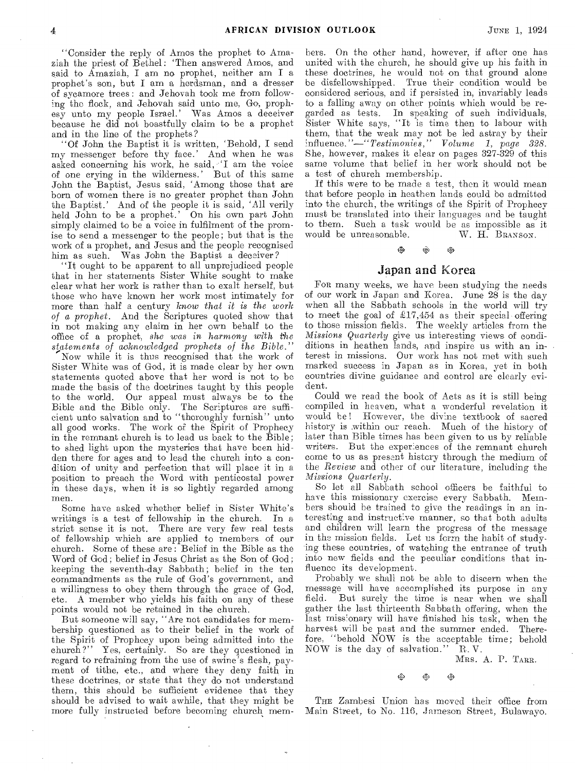"Consider the reply of Amos the prophet to Amaziah the priest of Bethel: 'Then answered Amos, and said to Amaziah, I am no prophet, neither am I a prophet's son, but I am a herdsman, and a dresser of sycamore trees : and Jehovah took me from following the flock, and Jehovah said unto me, Go, prophesy unto my people Israel.' Was Amos a deceiver because he did not boastfully claim to be a prophet and in the line of the prophets?

"Of John the Baptist it is written, 'Behold, I send my messenger before thy face.' And when he was asked concerning his work, he said, 'I am the voice of one crying in the wilderness.' But of this same John the Baptist, Jesus said, 'Among those that are born of women there is no greater prophet than John the Baptist.' And of the people it is said, 'All verily held John to be a prophet.' On his own part John simply claimed to be a voice in fulfilment of the promise to send a messenger to the people; but that is the work of a prophet, and Jesus and the people recognised him as such. Was John the Baptist a deceiver?

"It ought to be apparent to all unprejudiced people that in her statements Sister White sought to make clear what her work is rather than to exalt herself, but those who have known her work most intimately for more than half a century know *that it is the work of a prophet.* And the Scriptures quoted show that in not making any claim in her own behalf to the office of a prophet, *she was in harmony with the statements of acknowledged prophets of the Bible."* 

'Now while it is thus recognised that the work of Sister White was of God, it is made clear by her own statements quoted above that her word is not to be made the basis of the doctrines taught by this people to the world. Our appeal must always be to the Bible and the Bible only. The Scriptures are sufficient unto salvation and to "thoroughly furnish" unto all good works. The work of the Spirit of Prophecy in the remnant church is to lead us back to the Bible; to shed light upon the mysteries that have been hidden there for ages and to lead the church into a condition of unity and perfection that will place it in a position to preach the Word with penticostal power in these days, when it is so lightly regarded among men.

Some have asked whether belief in Sister White's writings is a test of fellowship in the church. In a strict sense it is not. There are very few real tests of fellowship which are applied to members of our church. Some of these are: Belief in the Bible as the Word of God; belief in Jesus Christ as the Son of God; keeping the seventh-day Sabbath; belief in the ten commandments as the rule of God's government, and a willingness to obey them through the grace of God, etc. A member who yields his faith on any of these points would not be retained in the church.

But someone will say, "Are not candidates for membership questioned as to their belief in the work of the Spirit of Prophecy upon being admitted into the church?" Yes, certainly. So are they questioned in regard to refraining from the use of swine's flesh, payment of tithe, etc., and where they deny faith in these doctrines, or state that they do not understand them, this should be sufficient evidence that they should be advised to wait awhile, that they might be more fully instructed before becoming church memhers. On the other hand, however, if after one has united with the church, he should give up his faith in these doctrines, he would not on that ground alone be disfellowshipped. True their condition would be considered serious, and if persisted in, invariably leads to a falling away on other points which would be regarded as tests. In speaking of such individuals, Sister White says, "It is time then to labour with them, that the weak may not be led astray by their influence."—"Testimonies," *Volume 1, page 328.*  She, however, makes it clear on pages 327-329 of this same volume that belief in her work should not be a test of church membership.

If this were to be made a test, then it would mean that before people in heathen lands could be admitted into the church, the writings of the Spirit of Prophecy must be translated into their languages and be taught to them. Such a task would be as impossible as it would be unreasonable.

#### os. 4)

#### Japan and Korea

FOR many weeks, we have been studying the needs of our work in Japan and Korea. June 28 is the day when all the Sabbath schools in the world will try to meet the goal of  $£17,454$  as their special offering to those mission fields. The weekly articles from the *Missions Quarterly* give us interesting views of condiditions in heathen lands, and inspire us with an interest in missions. Our work has not met with such marked success in Japan as in Korea, yet in both countries divine guidance and control are clearly evident.

Could we read the book of Acts as it is still being compiled in heaven, what a wonderful revelation it would be ! However, the divine textbook of sacred history is within our reach. Much of the history of later than Bible times has been given to us by reliable writers. But the experiences of the remnant church come to us as present history through the medium of the *Review* and other of our literature, including the *Minions Quarterly.* 

So let all Sabbath school officers be faithful to have this missionary exercise every Sabbath. Members should be trained to give the readings in an interesting and instructive manner, so that both adults and children will learn the progress of the message in the mission fields. Let us form the habit of studying these countries, of watching the entrance of truth into new fields and the peculiar conditions that influence its development.

Probably we shall not be able to discern when the message will have accomplished its purpose in any field. But surely the time is near when we shall gather the last thirteenth Sabbath offering, when the last missionary will have finished his task, when the harvest will be past and the summer ended. Therefore, "behold NOW is the acceptable time; behold NOW is the day of salvation." R.V.<br>
MRS. 4<br>  $\frac{1}{2}$ <br>  $\frac{1}{2}$ <br>  $\frac{1}{2}$ 

MRs. A. P. TARE.

THE Zambesi Union has moved their office from Main Street, to No. 116, Jameson Street, Bulawayo.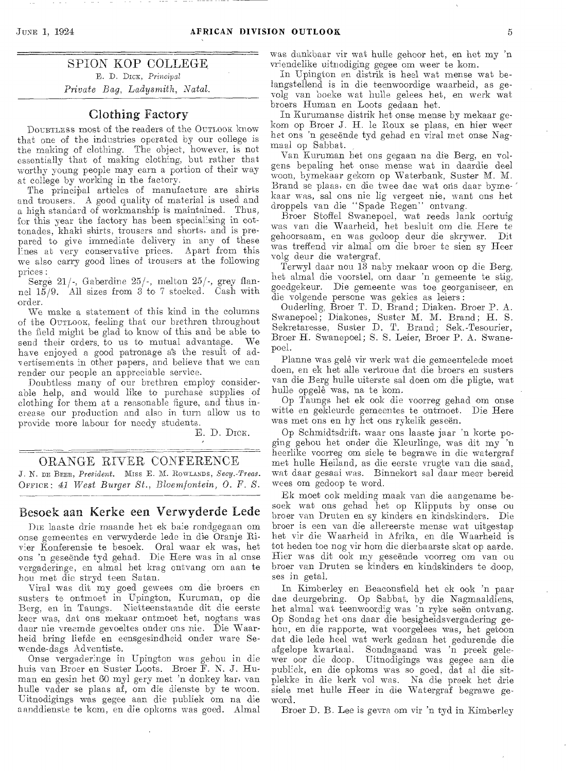### SPION KOP COLLEGE E. D. DICK, *Principal Private Bag, Ladysmith, Natal.*

### Clothing Factory

DOUBTLESS most of the readers of **the** OUTLOOK **know that one of the industries operated by our college is the making of clothing. The object, however, is not essentially that of making clothing, but rather that worthy young people may earn a portion** of **their way at college by working in the factory.** 

**The principal** articles **of manufacture are shirts and trousers. A good quality of material is** used and **a high standard of workmanship is maintained. Thus, for this year the factory has been specialising** in cot**tonades, khaki shirts, trousers and shorts, and is prepared to give immediate delivery in any of** these **Enes at very conservative prices. Apart from** this **we also carry good lines of trousers at the** following **prices :** 

**Serge 21/-, Gaberdine 25/-, melton 25/-, grey** flannel **15/9. All sizes from 3 to 7 stocked. Cash** with order.

**We make a statement of this kind in the columns of the** OUTLOOK, **feeling that our brethren throughout the field might be glad to know of this and be able** to send their orders, to us to mutual advantage. **have enjoyed a good patronage a's the result of advertisements in other papers, and believe that we can render our people an appreciable service.** 

**Doubtless many of our brethren employ considerable help, and would like to purchase supplies** of **clothing for them at a reasonable figure, and thus increase our production and also in turn allow** us to **provide more labour for needy students.** 

**E. D.** DICK.

#### ORANGE RIVER CONFERENCE

*J.* N. DE BEER, *President.* Miss E. M. ROWLANDS, *Secy.-Treas.*  OFFICE: *41 West Burger St., Bloemfontein, 0. F. S.* 

### Besoek aan Kerke een Verwyderde Lede

DIE **laaste drie** maande het **ek bale** rondgegaan cm **onse gemeentes en verwyderde lede in die Oranje Rivier Konferensie te besoek. Oral waar ek was,** het **ens 'n geseende** tyd gehad. Die **Here was in al** onse **vergaderinge, en** almal bet **krag ontvang om aan** te **ho•u met die stryd teen Satan.** 

**Viral was dit my goed gewees** om die **broers en susters to ontmoet in Upington, Kuruman, op die Berg, en in Taungs. Nietteenstaande dit die eerste keer was, dat ons mekaar ontmoet het, nogtans was daar nie vreemde gevoeltes onder ons** nie. **Die Waarheid bring liefde en eensgesindheid** onder **ware** Se**wende-dags Adventiste.** 

**Onse vergaderinge in Upington was** gehou in die huis **van Broer en** Suster **Loots. Broer** F. N. J. **Human** *en* **gesin het 60 myl gery met 'n donkey** kar, van hulle **vader se plaas af, om die dienste by te** woon. **Uitnodigings was gegee aan die publiek om** na die **aanddienste te kom, en die opkoms was goed.** Almal

**was dankbaar vir wat hulle gehoor het,** en het my 'n **vriendelike uitnodiging gegee om weer to** kom.

**In Upington en distrik is heel wat mense** wat be**langstellend is in die teenwoordige waarheid,** as ge**volg** van **boeke** wat **hulle gelees** het, en werk **wat broers Human en Loots gedaan** het.

In Kurumanse distrik **het onse** mense by mekaar gekom op Broer J. H. le **Roux** se **pleas,** en hier weer **het ons 'n geseende** tyd **gehad** en **viral** met onse Nag**maal op Sabbat.** 

**Van Kuruman het ens gegaan na die Berg, en volgene bepaling het onse mense wat in daardie** deel **woon, bymekaar gekom op Waterbank, Suster M. M.**  Brand se plaas, en die twee dae wat ons daar byme**kaar was, sal ons nie lig vergeet nie, want ons het droppels van die "Spade Regen" ontvang.** 

**Broer Stoffel Swanepoel, wet reeds lank oortuig was van die Waarheid, het besluit om die.** Here te **gehoorsaam,** en **was gedoop** deur **die skrywer.** Dit **was treffend** vir **almal om** die **broer te sien** sy Heer **volg deur die watergraf.** 

**Terwyl daar nou 13 naby mekaar woon op die Berg,**  het almal die voorstel, om daar 'n gemeente te stig, **goedgekeur. Die gemeente was toe georganiseer,** *en*  **die volgende persone** was **gekies as leiers :** 

**Ouderling, Broer T. D. Brand;** Diaken, Broer P. A. **Swanepoel; Diakones,** Suster M. M. Brand; **H.** S. **Sekretaresse, Suster D.** T. Brand; Sek.-Tesourier, **Broer H. Swanepoel;** S. S. Leier, Broer P. **A. Swanepoel.** 

Planne was gelê vir werk wat die gemeentelede moet doen, en ek het alle **vertroue dat die broers en** susters van **die Berg** hulle **uiterste sal doen** om **die pligte,** wat hulle **opgele** was, na **te kom.** 

Op **Taungs het ek ook die voorreg gehad** om onse **witte en** gekleurde **gemeentes te ontmoet.** Die Here **was** met ons en by **het ens rykelik geseen.** 

**Op** Schmidtsdrift, **waar ons laaste jaar 'n** korte **poging gehou** het **ender die Kleurlinge, was dit** my 'n **heerlike** voorreg om sidle **to begrawe in die watergraf met** hulle **Reiland, as** die **eerste vrugte van die saad, wat** daar **gesaai was. Binnekort sal daar meer bereid wees om gedoop to** word.

Ek moet ook melding maak van die **aangename besock wet** ons gehad **het op** Klipputs **by onse ou broer van** Druten en **sy kinders en kindskinders.** Die **broer is een van die allereerste mense wat** uitgestap het **vir die Waarheid in Afrika, en die Waarheid is**  tot **heden** toe **nog vir horn die dierbaarste skat op aarde. Hier was** dit **ook my geseende voorreg om van ou broer van** Druten **se kinders en kindskinders te** doop, ses **in getal.** 

In Kimberley en **Beaconsfield** het ek ook 'n **paar**  dae **deurgebring. Op Sabbat,** by die **Nagmaaldiens, het alma! wat teenwoordig was 'n** ryke **seen ontvang. Op Sondag het** ons **daar die besigheidsvergadering gehou,** en die rapporte, **wat** voorgelees **was,** het getoon **dat** die lede heel **wat work gedaan het gedurende die afgelope kwartaal. Sondagaand was 'n** preek gele**wer oor** die **doop. Uitnodigings was gegee** aan die publiek, en die opkoms was so goed, dat al die sitplekke in die kerk vol **was. Na die** preek het drie **sidle** met hulle Heer **in die Watergraf begrawe ge**word.

Broer D. B. Lee **is gevra** em vir 'n tyd in Kimberley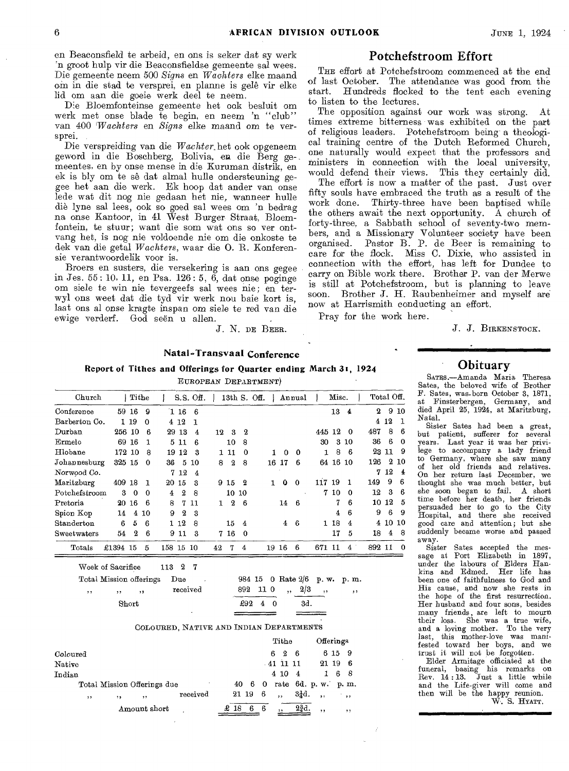en Beaconsfield te arbeid, en ons is seker dat sy werk 'n groot hulp vir die Beaconsfieldse gemeente sal wees. Die gemeente neem 500 *Signs* en *Wachters* elke maand om in die stad te versprei, en planne is gelê vir elke lid om aan die goeie werk deel te neem.

Die Bloemfonteinse gemeente het ook besluit em werk met onse blade te begin, en neem 'n "club" van 400 *Wachters* en *Signs* elke maand om to versprei.

Die verspreiding van die *Wachter het* ook opgeneem geword in die Boschberg, Bolivia, ea die Berg ge-. meentes, en by onse mense in die Kuruman distrik, en ek is bly om te se dat almal hulle ondersteuning gegee het aan die werk. Ek hoop dat ander van onse lede wat dit nog nie gedaan het nie, wanneer hulle die lyne sal lees, ook so good sal wees om 'n bedrag na onse Kantoor, in 41 West Burger Straat, Bloemfontein, te stuur; want die som wat ons so ver ontyang het, is nog nie voldoende nie om die onkoste te dek van die getal *Wachters,* waar die 0. R. Konferensie verantwoordelik voor is.

Broers en susters, die versekering is aan ons gegee in Jes.  $55:10$ , 11, en Psa.  $126:5$ ,  $6$ , dat onse poginge om siele te win nie tevergeefs sal wees nie; en terwyl ons weet dat die tyd vir work nou baie kort is, laat ons al onse kragte inspan om siele te red van die ewige verderf. God seen u alien.

J. N. DE BEER.

#### Potchefstroom Effort

THE effort at Potchefstroom commenced at the end of last October. The attendance was good from the start. Hundreds flocked to the tent each evening to listen to the lectures,

The opposition against our work was strong, At times extreme bitterness was exhibited on the part of religious leaders. Potchefstroom being a theological training centre of the Dutch Reformed Church, one naturally would expect that the professors and ministers in connection with the local university, would defend their views. This they certainly did.

The effort is now a matter of the past. Just over fifty souls have embraced the truth as a result of the Thirty-three have been baptised while the others await the next opportunity. A church of forty-three, a Sabbath school of seventy-two members, and a Missionary Volunteer society have been organised. Pastor B. P. de Beer is remaining to care for the flock. Miss C. Dixie, who assisted in connection with the effort, has left for Dundee to carry on Bible work there. Brother P. van der Merwe is still at Potchefstroom, but is planning to leave soon. Brother J. H. Raubenheimer and myself are now at Harrismith conducting an effort.

Pray for the work here.

J. J. BIRKENSTOCK.

#### Natal-Transvaal Conference

#### **Report of Tithes and Offerings for Quarter ending March 3i, 1924**

| Church        |          | Tithe            |          |           |                  | S.S. Off.      |              |                  |                  | 13th S. Off. $\vert$ |    |          | Annual      |        | Misc.    |                         |                | Total Off. |          |
|---------------|----------|------------------|----------|-----------|------------------|----------------|--------------|------------------|------------------|----------------------|----|----------|-------------|--------|----------|-------------------------|----------------|------------|----------|
| Conference    |          | 59 16            | 9        |           | 116              | 6              |              |                  |                  |                      |    |          |             |        | 13       | $\overline{\mathbf{4}}$ | 2              | 9          | 10       |
| Barberton Co. |          | 1 19             | $\Omega$ |           | $4\,12$          | 1              |              |                  |                  |                      |    |          |             |        |          |                         | $\overline{4}$ | 12         | -1       |
| Durban        | 256 10   |                  | 6        |           | 29 13            | $\overline{4}$ | 12           | 3                | 2                |                      |    |          |             | 445 12 |          | $\Omega$                | 487            | 8          | 6        |
| Ermelo        | 69       | 16               | 1        |           | 5 11             | 6              |              | 10               | 8                |                      |    |          |             | 30     | 3        | 10                      | 36             | 6          | $\Omega$ |
| Hlobane       | 172 10   |                  | 8        | 19        | 12               | 3              | $\mathbf{1}$ | 11               | $\Omega$         |                      |    | $\Omega$ | $\Omega$    | 1      | 8        | -6                      | 23             | 11         | 9        |
| Johannesburg  | 325 15   |                  | $\Omega$ | 36        | 5                | 10             | 8            | $\mathbf 2$      | 8                |                      |    | 16 17    | 6           |        | 64 16 10 |                         | 126            | 2          | 10       |
| Norwood Co.   |          |                  |          |           | 712              | 4              |              |                  |                  |                      |    |          |             |        |          |                         | 7              | 12         | 4        |
| Maritzburg    | 409 18   |                  | -1       | 20        | 15               | 3              |              | 9 15             | $\boldsymbol{2}$ |                      | 1. | 0        | $\mathbf 0$ | 117 19 |          | 1                       | 149            | 9          | 6        |
| Potchefstroom | 3        | $\Omega$         | $\Omega$ | 4         | 2                | 8              |              | 10               | 10               |                      |    |          |             | 7      | 10       | $\mathbf 0$             | 12             | 3          | 6        |
| Pretoria      | 20       | 16               | 6        | 8         | 7                | 11             | 1            | $\boldsymbol{2}$ | 6                |                      |    | 14       | 6           |        | 7        | 6                       | 10             | 12         | 5        |
| Spion Kop     | 14       | 4                | 10       | 9         | $\boldsymbol{2}$ | 3              |              |                  |                  |                      |    |          |             |        | 4        | 6                       | 9              | 6          | 9        |
| Standerton    | 6        | 5                | 6        |           | 1 12             | 8              |              | 15               | $\overline{4}$   |                      |    | 4        | 6           | 1      | 18       | 4                       | 4              |            | 10 10    |
| Sweetwaters   | 54       | $\boldsymbol{2}$ | 6        | 9         | 11               | 3              | 7            | 16               | $\bf{0}$         |                      |    |          |             |        | 17       | 5                       | 18             | 4          | 8        |
| Totals        | £1394 15 |                  | 5        | 158 15 10 |                  |                | 42           | 7                | 4                |                      | 19 | 16       | 6           | 671    | 11       | 4                       | 892 11         |            | $\Omega$ |

| ion offerings Due   |          |                       |  |                                                          |     | 984 15 0 Rate 2/6 p.w. p.m. |               |
|---------------------|----------|-----------------------|--|----------------------------------------------------------|-----|-----------------------------|---------------|
| .,<br>$\rightarrow$ | received |                       |  | $892 \quad 11 \quad 0 \quad \dots \quad 2/3 \quad \dots$ |     |                             | $\rightarrow$ |
| Short               |          | $£92 \quad 4 \quad 0$ |  |                                                          | 3d. |                             |               |
|                     |          |                       |  |                                                          |     |                             |               |

#### COLOURED, NATIVE AND INDIAN DEPARTMENTS

|                                 | Offerings<br>Tithe                            |  |
|---------------------------------|-----------------------------------------------|--|
| Coloured                        | 6 15 9<br>626                                 |  |
| Native                          | $-41$ 11 11<br>21 19<br>- 6                   |  |
| Indian                          | $1\quad6$<br>4 10<br>- 8<br>4                 |  |
| Total Mission Offerings due     | 0 rate $6d. p. w. p.m.$<br>40 6               |  |
| received<br>,,<br>$, \,$<br>, , | 3d.<br>-6<br>21 19<br>$\cdot$ ,,<br>,,<br>, , |  |
| Amount short                    | 6<br>£<br>6<br>18<br>, ,<br>, ,               |  |

Total Mission offer

,,

#### • Obituary

SATES.-Amanda Maria Theresa Sates, the beloved wife of Brother F. Sates, was-born October 3, 1871, at Finsterbergen, Germany, and died April 25, 1924, at Maritzburg, Natal.

Sister Sates had been a great, but patient, sufferer for several years. Last year it was her privilege to accompany a lady friend to Germany, where she saw many of her old friends and relatives. On her return last December, we thought she was much better, but she soon began to fail. A short time before her death, her friends persuaded her to go to the City Hospital, and there she received good care and attention; but she suddenly became worse and passed away.

Sister Sates accepted the message at Port Elizabeth in 1897, under the labours of Elders Han-<br>kins and Edmed. Her life has kins and Edmed. been one of faithfulness to God and His cause, and now she rests in the hope of the first resurrection. Her husband and four sons, besides many friends, are left to mourn their loss. She was a true wife, and a loving mother. To the very last, this mother-love was manifested toward her boys, and we trust it will not be forgotten.

Elder Armitage officiated at the funeral, basing his remarks on Rev. 14:13. Just a little while and the Life-giver will come and then will be the happy reunion. W. S. HYATT.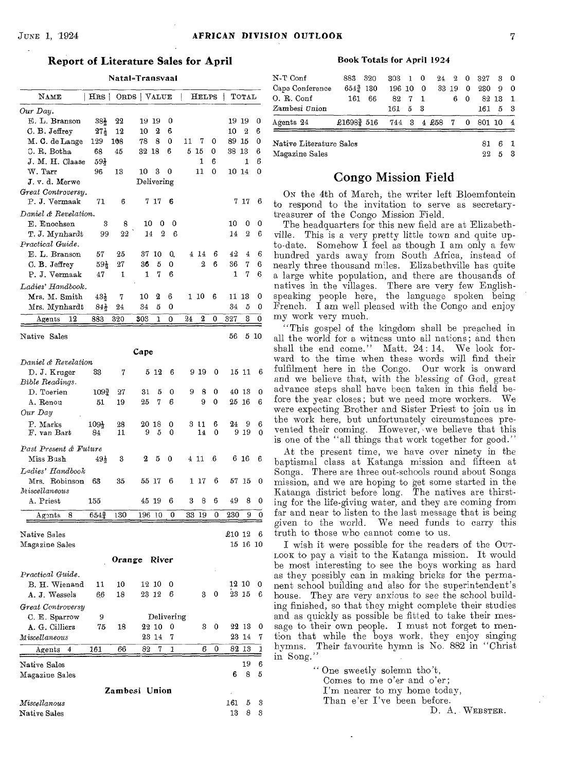#### **Report of Literature Sales for April**

Natal-Transvaal

| $_{\rm NAME}$                          | HRS              |          | ORDS   VALUE  |             |        | I  | HELPS          |                  | I        | TOTAL       |        |
|----------------------------------------|------------------|----------|---------------|-------------|--------|----|----------------|------------------|----------|-------------|--------|
| Our Day.                               |                  |          |               |             |        |    |                |                  |          |             |        |
| E. L. Branson                          | 38 <sub>2</sub>  | 22       | 19 19         |             | 0      |    |                |                  | 19 19    |             | 0      |
| C. B. Jeffrey                          | $27\frac{1}{2}$  | 12       | 10            | 2           | 6      |    |                |                  | 10       | 2           | 6      |
| M. C. de Lange                         | 129              | 108      | 78            | 8           | 0      | 11 | 7              | 0                | 89       | 15          | 0      |
| C. R. Botha                            | 68               | 45       | $32\ \ 18$    |             | 6      | 5  | 15             | 0                | 38 13    |             | 6      |
| J. M. H. Claase                        | 591              |          |               |             |        |    | 1              | 6                |          | 1           | 6      |
| $\operatorname{W}.\operatorname{Tarr}$ | 96               | 13       | 10            | 3           | 0      |    | 11             | 0                | 10 14    |             | 0      |
| J. v. d. Merwe                         |                  |          | Delivering    |             |        |    |                |                  |          |             |        |
| Great Controversy.                     |                  |          |               |             |        |    |                |                  |          |             |        |
| P. J. Vermaak                          | 71               | 6        |               | 717         | 6      |    |                |                  | 7        | 17          | 6      |
| Daniel & Revelation.                   |                  |          |               |             |        |    |                |                  |          |             |        |
| E. Enochsen                            | 3                | 8        | 10            | 0           | 0      |    |                |                  | 10       | 0           | 0      |
| T. J. Mynhardt                         | 99               | 22       | 14            | $\Omega$    | 6      |    |                |                  | 14       | 2           | 6      |
| Practical Guide.                       |                  |          |               |             |        |    |                |                  |          |             |        |
| E. L. Branson                          | 57               | 25       | 37            | 10          | O.     |    | 4 14           | 6                | 42       | 4           | 6      |
| C. B. Jeffrey                          | 59}              | 27       | 36<br>1       | 5<br>7      | 0<br>6 |    | $\overline{2}$ | 6                | 36<br>1  | 7<br>7      | 6<br>6 |
| P. J. Vermaak                          | 47               | 1        |               |             |        |    |                |                  |          |             |        |
| Ladies' Handbook.                      |                  |          |               |             |        |    |                |                  |          |             |        |
| Mrs. M. Smith                          | $43\frac{1}{2}$  | 7        | 10            | 2<br>5      | 6<br>0 |    | 1 10           | 6                | 11<br>34 | 13<br>5     | 0<br>0 |
| Mrs. Mynhardt                          | 84,              | 24       | 34            |             |        |    |                |                  |          |             |        |
| 12<br>Agents                           | 883              | 320      | 303           | 1           | 0      | 24 | $\mathbf 2$    | 0                | 327      | 3           | 0      |
| Native Sales                           |                  |          |               |             |        |    |                |                  | 56       |             | 5 10   |
|                                        |                  |          | Cape          |             |        |    |                |                  |          |             |        |
| Daniel & Revelation                    |                  |          |               |             |        |    |                |                  |          |             |        |
| D. J. Kruger                           | 33               | 7        | 5             | -12         | 6      | 9  | 19             | 0                |          | $15\,$ $11$ | 6      |
| Bible Readings.                        |                  |          |               |             |        |    |                |                  |          |             |        |
| D. Toerien                             | $109\frac{3}{4}$ | 27       | 31            | 5           | 0      | 9  | 8              | 0                |          | 40 13       | 0      |
| A. Renou                               | 51               | 19       | 25            | 7           | 6      |    | 9              | 0                | 25       | 16          | 6      |
| Our Day                                |                  |          |               |             |        |    |                |                  |          |             |        |
| P. Marks<br>F. van Bart                | 109}             | 28<br>11 | 9             | 20 18<br>5  | 0<br>0 |    | 3 L1<br>14     | 6<br>0           | 24       | 9<br>919    | 6<br>0 |
|                                        | 84               |          |               |             |        |    |                |                  |          |             |        |
| Past Present & Future                  |                  |          |               |             |        |    |                |                  |          |             |        |
| Miss Bush                              | $49\frac{1}{2}$  | 3        | 2             | 5           | 0      |    | 4 11           | $\boldsymbol{6}$ |          | $6\,16$     | 6      |
| Ladies' Handbook                       |                  |          |               |             |        |    |                |                  |          |             |        |
| Mrs. Robinson                          | 63               | 35       | 55 17         |             | 6      | 1  | 17             | 6                | 57       | 15          | 0      |
| Miscellaneous                          |                  |          |               |             |        |    |                |                  |          |             |        |
| A. Priest                              | 155              |          | 45 19         |             | 6      | 3  | 8              | 6                | 49       | 8           | 0      |
| 8<br>Agents                            | 6543             | 130      | 196           | 10          | 0      | 33 | 19             | 0                | 230      | 9           | 0      |
|                                        |                  |          |               |             |        |    |                |                  |          |             |        |
| Native Sales                           |                  |          |               |             |        |    |                |                  | £10 12   |             | 6      |
| Magazine Sales                         |                  |          |               |             |        |    |                |                  |          | 15 16 10    |        |
|                                        |                  | Orange   |               | River       |        |    |                |                  |          |             |        |
| Practical Guide.                       |                  |          |               |             |        |    |                |                  |          |             |        |
| B. H. Wienand                          | 11               | 10       |               | $12\,10$    | 0      |    |                |                  |          | $12\;10$    | 0      |
| A. J. Wessels                          | 66               | 18       |               | 23 12       | 6      |    | 3              | 0                |          | 23 15       | 6      |
| Great Controversy                      |                  |          |               |             |        |    |                |                  |          |             |        |
| C. E. Sparrow                          | 9                |          |               | Delivering  |        |    |                |                  |          |             |        |
| A. G. Cilliers                         | 75               | 18       |               | $22\,$ $10$ | 0      |    | 3              | 0                |          | 22 13       | 0      |
| $\it M$ iscellaneous                   |                  |          |               | 23 14       | 7      |    |                |                  | 23       | 14          | 7      |
| Agents<br>4                            | 161              | 66       | 82            | 7           | 1      |    | 6              | 0                | 82       | 13          | 1      |
| Native Sales                           |                  |          |               |             |        |    |                |                  |          | 19          | 6      |
| Magazine Sales                         |                  |          |               |             |        |    |                |                  | 6        | 8           | 5      |
|                                        |                  |          | Zambesi Union |             |        |    |                |                  |          |             |        |
|                                        |                  |          |               |             |        |    |                |                  | 161      |             |        |
| Miscellanous<br>Native Sales           |                  |          |               |             |        |    |                |                  | 13       | 5<br>8      | 3<br>3 |
|                                        |                  |          |               |             |        |    |                |                  |          |             |        |

#### **Book Totals for April** 1924

| $0\quad 801\ 10$ |                | $\overline{4}$                 |
|------------------|----------------|--------------------------------|
|                  |                |                                |
| 161              | 5.             | - 3                            |
|                  |                | - 1                            |
|                  |                | $\overline{0}$                 |
|                  |                |                                |
|                  | - 0<br>0<br>60 | 327 3 0<br>230<br>- 9<br>82 13 |

#### Congo Mission Field

ON the 4th of March, the writer left Bloemfontein to respond to the invitation to serve as secretarytreasurer of the Congo Mission Field.

The headquarters for this new field are at Elizabethville. This is a very pretty little town and quite upto-date. Somehow I feel as though I am only a few hundred yards away from South Africa, instead of nearly three thousand miles. Elizabethville has quite a large white population, and there are thousands of natives in the villages. There are very few Englishspeaking people here, the language spoken being French. I am well pleased with the Congo and enjoy my work very much.

"This gospel of the kingdom shall be preached in all the world for a witness unto all nations; and then shall the end come." Matt. 24: 14. We look forward to the time when these words will find their fulfilment here in the Congo. Our work is onward and we believe that, with the blessing of God, great advance steps shall have been taken in this field before the year closes; but we need more workers. We were expecting Brother and Sister Priest to join us in the work here, but unfortunately circumstances prevented their coming. However, we believe that this is one of the "all things that work together for good."

At the present time, we have over ninety in the baptismal class at Katanga mission and fifteen at Songa. There are three out-schools round about Songa mission, and we are hoping to get some started in the Katanga district before long. The natives are thirsting for the life-giving water, and they are coming from far and near to listen to the last message that is being given to the world. We need funds to carry this truth to those who cannot come to us.

I wish it were possible for the readers of the OUT-LOOK to pay a visit to the Katanga mission. It would be most interesting to see the boys working as bard as they possibly can in making bricks for the permanent school building and also for the superintendent's house. They are very anxious to see the school building finished, so that they might complete their studies and as quickly as possible be fitted to take their message to their own people. I must not forget to mention that while the boys work, they enjoy singing hymns. Their favourite hymn is No. 882 in "Christ in Song."

> " One sweetly solemn tho't, Comes to me o'er and o'er; I'm nearer to my home today, Than e'er I've been before. D. A. WEBSTER.